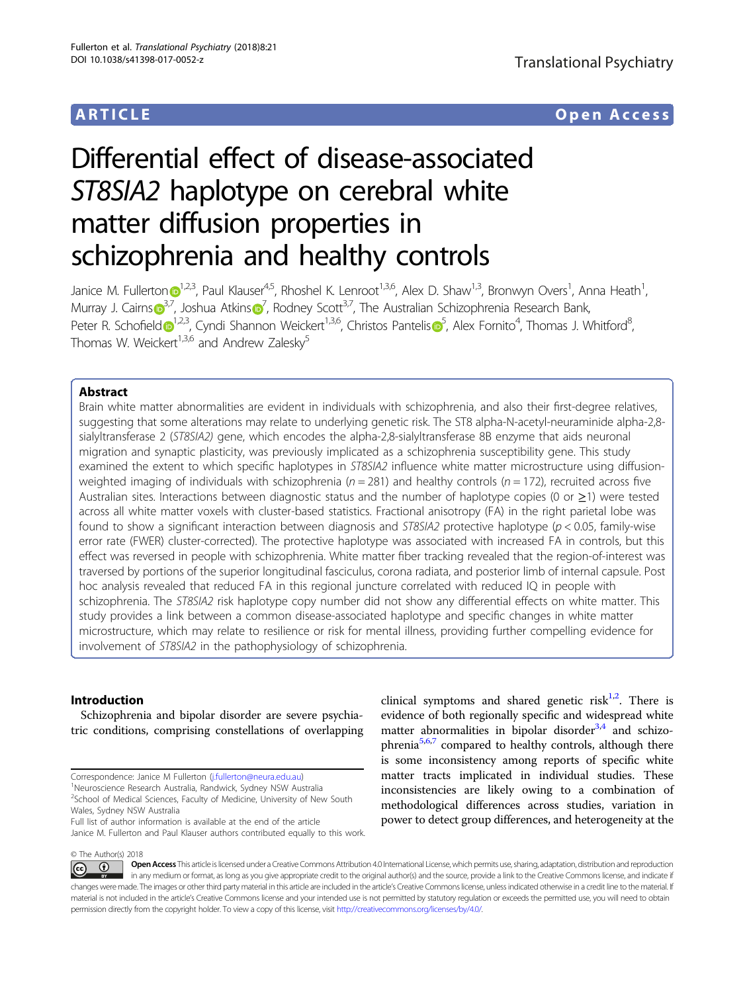## ARTICLE Open Access

# Differential effect of disease-associated ST8SIA2 haplotype on cerebral white matter diffusion properties in schizophrenia and healthy controls

Janice M. Fullerton $\odot^{1,2,3}$  $\odot^{1,2,3}$  $\odot^{1,2,3}$ , Paul Klauser $^{4,5}$ , Rhoshel K. Lenroot $^{1,3,6}$ , Alex D. Shaw $^{1,3}$ , Bronwyn Overs $^1$ , Anna Heath $^1$ , Murray J. Cairn[s](http://orcid.org/0000-0003-0821-1112) $\binom{3}{7}$  $\binom{3}{7}$  $\binom{3}{7}$  $\binom{3}{7}$  $\binom{3}{7}$ , Joshua Atkins $\binom{7}{7}$ , Rodney Scott<sup>3,7</sup>, The Australian Schizophrenia Research Bank, Peter R. Schofiel[d](http://orcid.org/0000-0003-2967-9662) D<sup>[1](http://orcid.org/0000-0003-2967-9662),2,3</[s](http://orcid.org/0000-0002-9565-0238)up>, Cyndi Shannon Weickert<sup>1,3,6</sup>, Christos Pantelis D<sup>[5](http://orcid.org/0000-0002-9565-0238)</sup>, Alex Fornito<sup>4</sup>, Thomas J. Whitford<sup>8</sup> ;<br>, Thomas W. Weickert<sup>1,3,6</sup> and Andrew Zalesky<sup>5</sup>

### Abstract

Brain white matter abnormalities are evident in individuals with schizophrenia, and also their first-degree relatives, suggesting that some alterations may relate to underlying genetic risk. The ST8 alpha-N-acetyl-neuraminide alpha-2,8 sialyltransferase 2 (ST8SIA2) gene, which encodes the alpha-2,8-sialyltransferase 8B enzyme that aids neuronal migration and synaptic plasticity, was previously implicated as a schizophrenia susceptibility gene. This study examined the extent to which specific haplotypes in ST8SIA2 influence white matter microstructure using diffusionweighted imaging of individuals with schizophrenia ( $n = 281$ ) and healthy controls ( $n = 172$ ), recruited across five Australian sites. Interactions between diagnostic status and the number of haplotype copies (0 or ≥1) were tested across all white matter voxels with cluster-based statistics. Fractional anisotropy (FA) in the right parietal lobe was found to show a significant interaction between diagnosis and  $ST8SIA2$  protective haplotype ( $p < 0.05$ , family-wise error rate (FWER) cluster-corrected). The protective haplotype was associated with increased FA in controls, but this effect was reversed in people with schizophrenia. White matter fiber tracking revealed that the region-of-interest was traversed by portions of the superior longitudinal fasciculus, corona radiata, and posterior limb of internal capsule. Post hoc analysis revealed that reduced FA in this regional juncture correlated with reduced IQ in people with schizophrenia. The ST8SIA2 risk haplotype copy number did not show any differential effects on white matter. This study provides a link between a common disease-associated haplotype and specific changes in white matter microstructure, which may relate to resilience or risk for mental illness, providing further compelling evidence for involvement of ST8SIA2 in the pathophysiology of schizophrenia.

### Introduction

Schizophrenia and bipolar disorder are severe psychiatric conditions, comprising constellations of overlapping

Correspondence: Janice M Fullerton ([j.fullerton@neura.edu.au\)](mailto:j.fullerton@neura.edu.au) <sup>1</sup>

<sup>1</sup>Neuroscience Research Australia, Randwick, Sydney NSW Australia <sup>2</sup>School of Medical Sciences, Faculty of Medicine, University of New South

Wales, Sydney NSW Australia

Full list of author information is available at the end of the article Janice M. Fullerton and Paul Klauser authors contributed equally to this work.

clinical symptoms and shared genetic risk<sup>1,2</sup>. There is evidence of both regionally specific and widespread white matter abnormalities in bipolar disorder $3,4$  and schizo-phrenia<sup>5,6,[7](#page-8-0)</sup> compared to healthy controls, although there is some inconsistency among reports of specific white matter tracts implicated in individual studies. These inconsistencies are likely owing to a combination of methodological differences across studies, variation in power to detect group differences, and heterogeneity at the

© The Author(s) 2018

Open Access This article is licensed under a Creative Commons Attribution 4.0 International License, which permits use, sharing, adaptation, distribution and reproduction  $\odot$   $\odot$ in any medium or format, as long as you give appropriate credit to the original author(s) and the source, provide a link to the Creative Commons license, and indicate if changes were made. The images or other third party material in this article are included in the article's Creative Commons license, unless indicated otherwise in a credit line to the material. If material is not included in the article's Creative Commons license and your intended use is not permitted by statutory regulation or exceeds the permitted use, you will need to obtain permission directly from the copyright holder. To view a copy of this license, visit <http://creativecommons.org/licenses/by/4.0/>.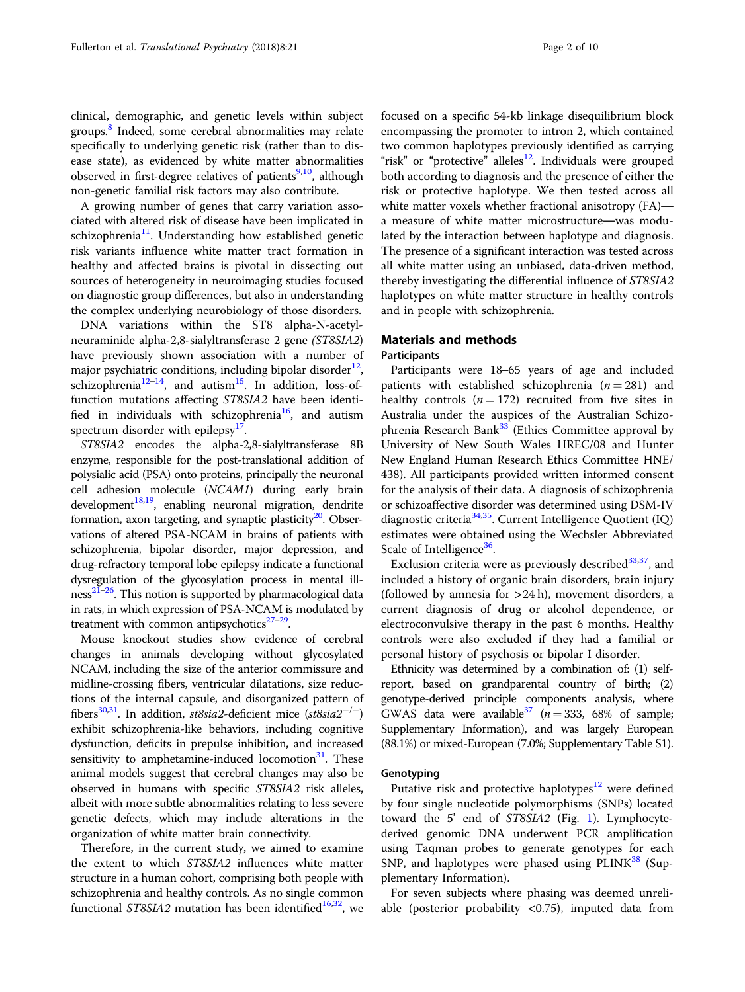clinical, demographic, and genetic levels within subject groups.<sup>8</sup> Indeed, some cerebral abnormalities may relate specifically to underlying genetic risk (rather than to disease state), as evidenced by white matter abnormalities observed in first-degree relatives of patients<sup>[9,10](#page-8-0)</sup>, although non-genetic familial risk factors may also contribute.

A growing number of genes that carry variation associated with altered risk of disease have been implicated in schizophrenia $^{11}$  $^{11}$  $^{11}$ . Understanding how established genetic risk variants influence white matter tract formation in healthy and affected brains is pivotal in dissecting out sources of heterogeneity in neuroimaging studies focused on diagnostic group differences, but also in understanding the complex underlying neurobiology of those disorders.

DNA variations within the ST8 alpha-N-acetylneuraminide alpha-2,8-sialyltransferase 2 gene (ST8SIA2) have previously shown association with a number of major psychiatric conditions, including bipolar disorder<sup>[12](#page-8-0)</sup>, schizophrenia<sup>[12](#page-8-0)–[14](#page-8-0)</sup>, and autism<sup>[15](#page-8-0)</sup>. In addition, loss-offunction mutations affecting ST8SIA2 have been identi-fied in individuals with schizophrenia<sup>[16](#page-8-0)</sup>, and autism spectrum disorder with epilepsy $17$ .

ST8SIA2 encodes the alpha-2,8-sialyltransferase 8B enzyme, responsible for the post-translational addition of polysialic acid (PSA) onto proteins, principally the neuronal cell adhesion molecule (NCAM1) during early brain development $18,19$ , enabling neuronal migration, dendrite formation, axon targeting, and synaptic plasticity $20$ . Observations of altered PSA-NCAM in brains of patients with schizophrenia, bipolar disorder, major depression, and drug-refractory temporal lobe epilepsy indicate a functional dysregulation of the glycosylation process in mental ill- $ness^{21-26}$  $ness^{21-26}$  $ness^{21-26}$ . This notion is supported by pharmacological data in rats, in which expression of PSA-NCAM is modulated by treatment with common antipsychotics $27-29$  $27-29$  $27-29$ .

Mouse knockout studies show evidence of cerebral changes in animals developing without glycosylated NCAM, including the size of the anterior commissure and midline-crossing fibers, ventricular dilatations, size reductions of the internal capsule, and disorganized pattern of fibers<sup>30,31</sup>. In addition, st8sia2-deficient mice (st8sia2<sup>-/-</sup>) exhibit schizophrenia-like behaviors, including cognitive dysfunction, deficits in prepulse inhibition, and increased sensitivity to amphetamine-induced locomotion $31$ . These animal models suggest that cerebral changes may also be observed in humans with specifi<sup>c</sup> ST8SIA2 risk alleles, albeit with more subtle abnormalities relating to less severe genetic defects, which may include alterations in the organization of white matter brain connectivity.

Therefore, in the current study, we aimed to examine the extent to which ST8SIA2 influences white matter structure in a human cohort, comprising both people with schizophrenia and healthy controls. As no single common functional ST8SIA2 mutation has been identified<sup>16,32</sup>, we focused on a specific 54-kb linkage disequilibrium block encompassing the promoter to intron 2, which contained two common haplotypes previously identified as carrying "risk" or "protective" alleles<sup>[12](#page-8-0)</sup>. Individuals were grouped both according to diagnosis and the presence of either the risk or protective haplotype. We then tested across all white matter voxels whether fractional anisotropy (FA) a measure of white matter microstructure—was modulated by the interaction between haplotype and diagnosis. The presence of a significant interaction was tested across all white matter using an unbiased, data-driven method, thereby investigating the differential influence of ST8SIA2 haplotypes on white matter structure in healthy controls and in people with schizophrenia.

#### Materials and methods

#### **Participants**

Participants were 18–65 years of age and included patients with established schizophrenia ( $n = 281$ ) and healthy controls  $(n = 172)$  recruited from five sites in Australia under the auspices of the Australian Schizo-phrenia Research Bank<sup>[33](#page-8-0)</sup> (Ethics Committee approval by University of New South Wales HREC/08 and Hunter New England Human Research Ethics Committee HNE/ 438). All participants provided written informed consent for the analysis of their data. A diagnosis of schizophrenia or schizoaffective disorder was determined using DSM-IV diagnostic criteria<sup>[34](#page-8-0),[35](#page-8-0)</sup>. Current Intelligence Quotient (IQ) estimates were obtained using the Wechsler Abbreviated Scale of Intelligence<sup>[36](#page-8-0)</sup>.

Exclusion criteria were as previously described $33,37$ , and included a history of organic brain disorders, brain injury (followed by amnesia for  $>24$  h), movement disorders, a current diagnosis of drug or alcohol dependence, or electroconvulsive therapy in the past 6 months. Healthy controls were also excluded if they had a familial or personal history of psychosis or bipolar I disorder.

Ethnicity was determined by a combination of: (1) selfreport, based on grandparental country of birth; (2) genotype-derived principle components analysis, where GWAS data were available<sup>37</sup> ( $n = 333$ , 68% of sample; Supplementary Information), and was largely European (88.1%) or mixed-European (7.0%; Supplementary Table S1).

#### **Genotyping**

Putative risk and protective haplotypes $12$  were defined by four single nucleotide polymorphisms (SNPs) located toward the 5' end of ST8SIA2 (Fig. [1](#page-2-0)). Lymphocytederived genomic DNA underwent PCR amplification using Taqman probes to generate genotypes for each SNP, and haplotypes were phased using  $PLINK^{38}$  $PLINK^{38}$  $PLINK^{38}$  (Supplementary Information).

For seven subjects where phasing was deemed unreliable (posterior probability  $\langle 0.75 \rangle$ , imputed data from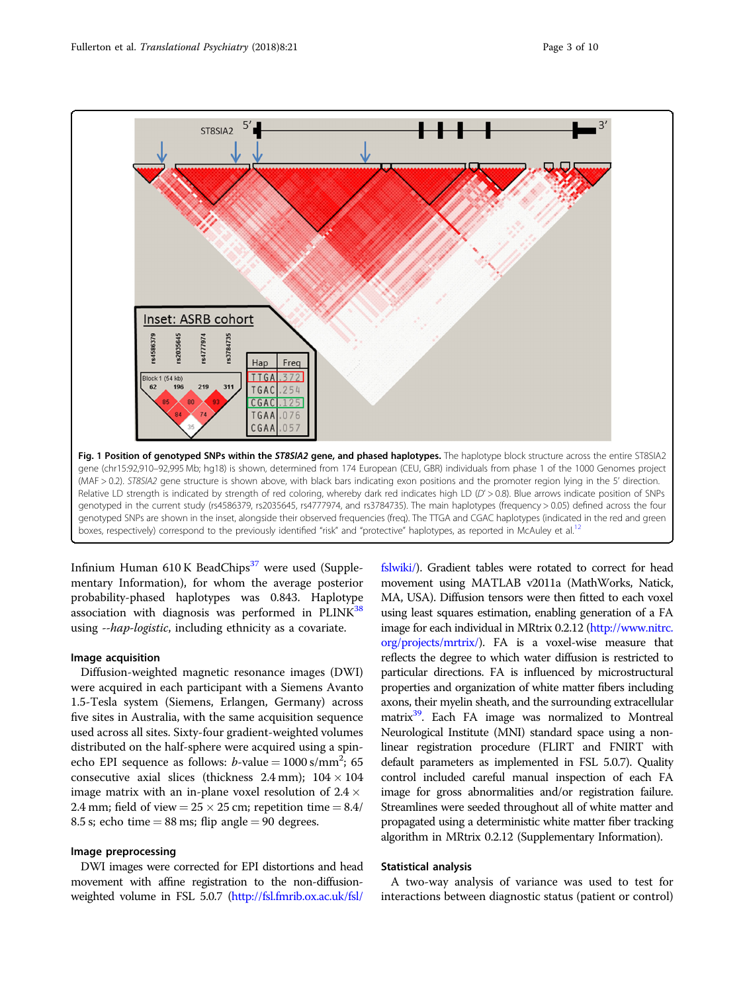<span id="page-2-0"></span>

Infinium Human  $610$  K BeadChips<sup>[37](#page-8-0)</sup> were used (Supplementary Information), for whom the average posterior probability-phased haplotypes was 0.843. Haplotype association with diagnosis was performed in  $PLINK^{38}$  $PLINK^{38}$  $PLINK^{38}$ using --hap-logistic, including ethnicity as a covariate.

#### Image acquisition

Diffusion-weighted magnetic resonance images (DWI) were acquired in each participant with a Siemens Avanto 1.5-Tesla system (Siemens, Erlangen, Germany) across five sites in Australia, with the same acquisition sequence used across all sites. Sixty-four gradient-weighted volumes distributed on the half-sphere were acquired using a spinecho EPI sequence as follows:  $b$ -value = 1000 s/mm<sup>2</sup>; 65<br>consecutive axial slices (thickness 2.4 mm):  $104 \times 104$ consecutive axial slices (thickness  $2.4$  mm);  $104 \times 104$ image matrix with an in-plane voxel resolution of  $2.4 \times$ 2.4 mm; field of view =  $25 \times 25$  cm; repetition time =  $8.4/$ 8.5 s; echo time  $= 88$  ms; flip angle  $= 90$  degrees.

#### Image preprocessing

DWI images were corrected for EPI distortions and head movement with affine registration to the non-diffusionweighted volume in FSL 5.0.7 [\(http://fsl.fmrib.ox.ac.uk/fsl/](http://fsl.fmrib.ox.ac.uk/fsl/fslwiki/)

[fslwiki/\)](http://fsl.fmrib.ox.ac.uk/fsl/fslwiki/). Gradient tables were rotated to correct for head movement using MATLAB v2011a (MathWorks, Natick, MA, USA). Diffusion tensors were then fitted to each voxel using least squares estimation, enabling generation of a FA image for each individual in MRtrix 0.2.12 [\(http://www.nitrc.](http://www.nitrc.org/projects/mrtrix/) [org/projects/mrtrix/\)](http://www.nitrc.org/projects/mrtrix/). FA is a voxel-wise measure that reflects the degree to which water diffusion is restricted to particular directions. FA is influenced by microstructural properties and organization of white matter fibers including axons, their myelin sheath, and the surrounding extracellular matrix<sup>39</sup>. Each FA image was normalized to Montreal Neurological Institute (MNI) standard space using a nonlinear registration procedure (FLIRT and FNIRT with default parameters as implemented in FSL 5.0.7). Quality control included careful manual inspection of each FA image for gross abnormalities and/or registration failure. Streamlines were seeded throughout all of white matter and propagated using a deterministic white matter fiber tracking algorithm in MRtrix 0.2.12 (Supplementary Information).

#### Statistical analysis

A two-way analysis of variance was used to test for interactions between diagnostic status (patient or control)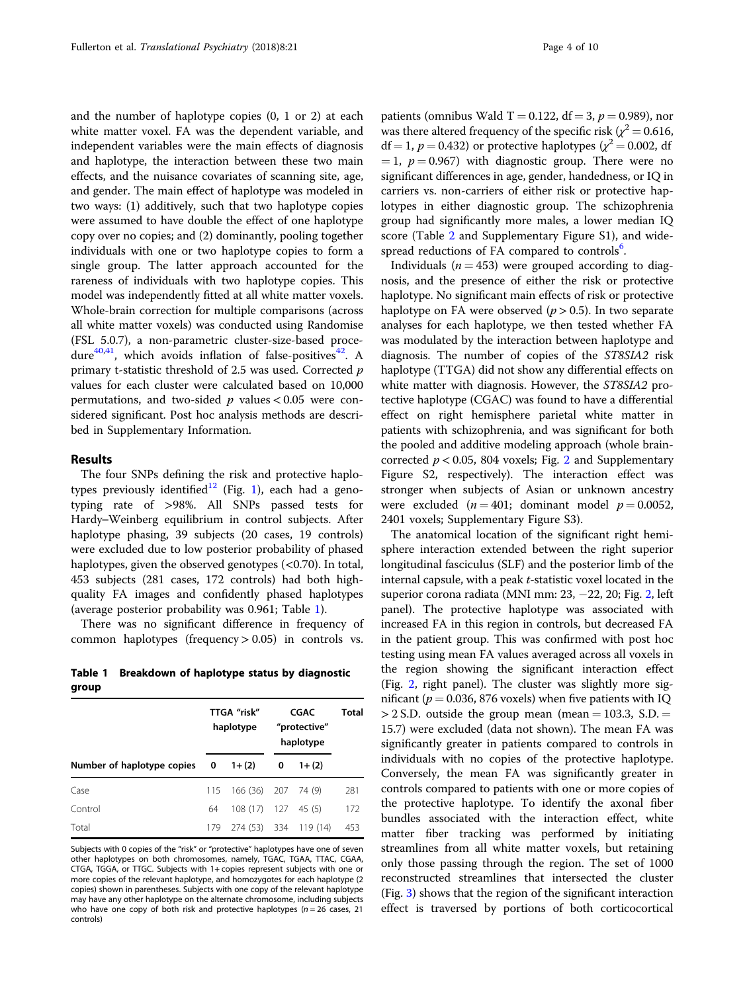and the number of haplotype copies (0, 1 or 2) at each white matter voxel. FA was the dependent variable, and independent variables were the main effects of diagnosis and haplotype, the interaction between these two main effects, and the nuisance covariates of scanning site, age, and gender. The main effect of haplotype was modeled in two ways: (1) additively, such that two haplotype copies were assumed to have double the effect of one haplotype copy over no copies; and (2) dominantly, pooling together individuals with one or two haplotype copies to form a single group. The latter approach accounted for the rareness of individuals with two haplotype copies. This model was independently fitted at all white matter voxels. Whole-brain correction for multiple comparisons (across all white matter voxels) was conducted using Randomise (FSL 5.0.7), a non-parametric cluster-size-based proce-dure<sup>40,41</sup>, which avoids inflation of false-positives<sup>[42](#page-8-0)</sup>. A primary t-statistic threshold of 2.5 was used. Corrected p values for each cluster were calculated based on 10,000 permutations, and two-sided  $p$  values  $< 0.05$  were considered significant. Post hoc analysis methods are described in Supplementary Information.

#### Results

The four SNPs defining the risk and protective haplo-types previously identified<sup>[12](#page-8-0)</sup> (Fig. [1\)](#page-2-0), each had a genotyping rate of >98%. All SNPs passed tests for Hardy–Weinberg equilibrium in control subjects. After haplotype phasing, 39 subjects (20 cases, 19 controls) were excluded due to low posterior probability of phased haplotypes, given the observed genotypes  $( $0.70$ ). In total,$ 453 subjects (281 cases, 172 controls) had both highquality FA images and confidently phased haplotypes (average posterior probability was 0.961; Table 1).

There was no significant difference in frequency of common haplotypes (frequency > 0.05) in controls vs.

Table 1 Breakdown of haplotype status by diagnostic group

|                              |     | TTGA "risk"<br>haplotype | CGAC<br>"protective"<br>haplotype |         | Total |
|------------------------------|-----|--------------------------|-----------------------------------|---------|-------|
| Number of haplotype copies 0 |     | $1+(2)$                  | 0                                 | $1+(2)$ |       |
| Case                         | 115 | 166 (36) 207 74 (9)      |                                   |         | 281   |
| Control                      | 64  | $108(17)$ $127$ $45(5)$  |                                   |         | 172   |
| Total                        | 179 | 274 (53) 334 119 (14)    |                                   |         | 453   |

Subjects with 0 copies of the "risk" or "protective" haplotypes have one of seven other haplotypes on both chromosomes, namely, TGAC, TGAA, TTAC, CGAA, CTGA, TGGA, or TTGC. Subjects with 1+ copies represent subjects with one or more copies of the relevant haplotype, and homozygotes for each haplotype (2 copies) shown in parentheses. Subjects with one copy of the relevant haplotype may have any other haplotype on the alternate chromosome, including subjects who have one copy of both risk and protective haplotypes ( $n = 26$  cases, 21 controls)

patients (omnibus Wald T = 0.122, df = 3,  $p = 0.989$ ), nor was there altered frequency of the specific risk ( $\chi^2$  = 0.616,  $df = 1$ ,  $p = 0.432$ ) or protective haplotypes ( $\chi^2 = 0.002$ , df  $= 1, p = 0.967$ ) with diagnostic group. There were no significant differences in age, gender, handedness, or IQ in carriers vs. non-carriers of either risk or protective haplotypes in either diagnostic group. The schizophrenia group had significantly more males, a lower median IQ score (Table [2](#page-4-0) and Supplementary Figure S1), and wide-spread reductions of FA compared to controls<sup>[6](#page-8-0)</sup>.

Individuals ( $n = 453$ ) were grouped according to diagnosis, and the presence of either the risk or protective haplotype. No significant main effects of risk or protective haplotype on FA were observed ( $p > 0.5$ ). In two separate analyses for each haplotype, we then tested whether FA was modulated by the interaction between haplotype and diagnosis. The number of copies of the ST8SIA2 risk haplotype (TTGA) did not show any differential effects on white matter with diagnosis. However, the ST8SIA2 protective haplotype (CGAC) was found to have a differential effect on right hemisphere parietal white matter in patients with schizophrenia, and was significant for both the pooled and additive modeling approach (whole braincorrected  $p < 0.05$ , 804 voxels; Fig. [2](#page-4-0) and Supplementary Figure S2, respectively). The interaction effect was stronger when subjects of Asian or unknown ancestry were excluded  $(n = 401;$  dominant model  $p = 0.0052$ , 2401 voxels; Supplementary Figure S3).

The anatomical location of the significant right hemisphere interaction extended between the right superior longitudinal fasciculus (SLF) and the posterior limb of the internal capsule, with a peak t-statistic voxel located in the superior corona radiata (MNI mm:  $23, -22, 20$  $23, -22, 20$  $23, -22, 20$ ; Fig. 2, left panel). The protective haplotype was associated with increased FA in this region in controls, but decreased FA in the patient group. This was confirmed with post hoc testing using mean FA values averaged across all voxels in the region showing the significant interaction effect (Fig. [2,](#page-4-0) right panel). The cluster was slightly more significant ( $p = 0.036$ , 876 voxels) when five patients with IQ  $> 2$  S.D. outside the group mean (mean = 103.3, S.D. = 15.7) were excluded (data not shown). The mean FA was significantly greater in patients compared to controls in individuals with no copies of the protective haplotype. Conversely, the mean FA was significantly greater in controls compared to patients with one or more copies of the protective haplotype. To identify the axonal fiber bundles associated with the interaction effect, white matter fiber tracking was performed by initiating streamlines from all white matter voxels, but retaining only those passing through the region. The set of 1000 reconstructed streamlines that intersected the cluster (Fig. [3\)](#page-5-0) shows that the region of the significant interaction effect is traversed by portions of both corticocortical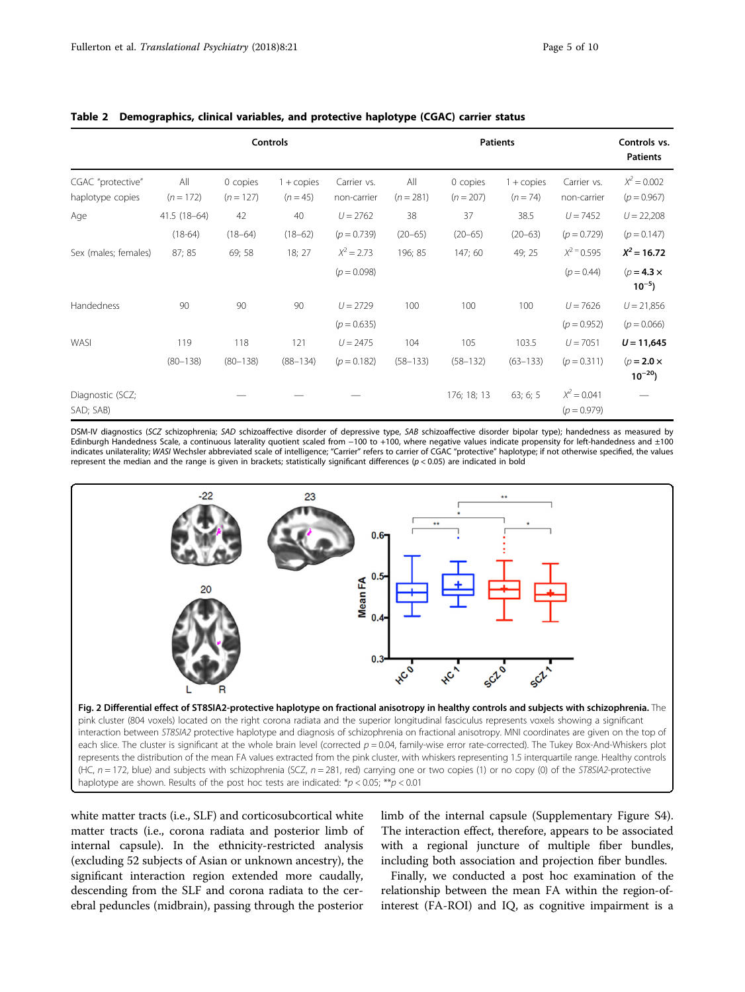|                                       | <b>Controls</b>    |                         |                                   |                            | <b>Patients</b>    |                         |                                   |                                | Controls vs.<br><b>Patients</b> |
|---------------------------------------|--------------------|-------------------------|-----------------------------------|----------------------------|--------------------|-------------------------|-----------------------------------|--------------------------------|---------------------------------|
| CGAC "protective"<br>haplotype copies | All<br>$(n = 172)$ | 0 copies<br>$(n = 127)$ | $1 + \text{copies}$<br>$(n = 45)$ | Carrier vs.<br>non-carrier | All<br>$(n = 281)$ | 0 copies<br>$(n = 207)$ | $1 + \text{copies}$<br>$(n = 74)$ | Carrier vs.<br>non-carrier     | $X^2 = 0.002$<br>$(p = 0.967)$  |
| Age                                   | 41.5 (18-64)       | 42                      | 40                                | $U = 2762$                 | 38                 | 37                      | 38.5                              | $U = 7452$                     | $U = 22,208$                    |
|                                       | $(18-64)$          | $(18 - 64)$             | $(18 - 62)$                       | $(p = 0.739)$              | $(20 - 65)$        | $(20 - 65)$             | $(20 - 63)$                       | $(p = 0.729)$                  | $(p = 0.147)$                   |
| Sex (males; females)                  | 87; 85             | 69; 58                  | 18; 27                            | $X^2 = 2.73$               | 196; 85            | 147; 60                 | 49; 25                            | $X^2 = 0.595$                  | $X^2 = 16.72$                   |
|                                       |                    |                         |                                   | $(p = 0.098)$              |                    |                         |                                   | $(p = 0.44)$                   | $(p=4.3 \times$<br>$10^{-5}$ )  |
| Handedness                            | 90                 | 90                      | 90                                | $U = 2729$                 | 100                | 100                     | 100                               | $U = 7626$                     | $U = 21,856$                    |
|                                       |                    |                         |                                   | $(p = 0.635)$              |                    |                         |                                   | $(p = 0.952)$                  | $(p = 0.066)$                   |
| WASI                                  | 119                | 118                     | 121                               | $U = 2475$                 | 104                | 105                     | 103.5                             | $U = 7051$                     | $U = 11,645$                    |
|                                       | $(80 - 138)$       | $(80 - 138)$            | $(88 - 134)$                      | $(p = 0.182)$              | $(58 - 133)$       | $(58 - 132)$            | $(63 - 133)$                      | $(p = 0.311)$                  | $(p=2.0 \times$<br>$10^{-20}$   |
| Diagnostic (SCZ;<br>SAD; SAB)         |                    |                         |                                   |                            |                    | 176; 18; 13             | 63; 6; 5                          | $X^2 = 0.041$<br>$(p = 0.979)$ |                                 |

#### <span id="page-4-0"></span>Table 2 Demographics, clinical variables, and protective haplotype (CGAC) carrier status

DSM-IV diagnostics (SCZ schizophrenia; SAD schizoaffective disorder of depressive type, SAB schizoaffective disorder bipolar type); handedness as measured by Edinburgh Handedness Scale, a continuous laterality quotient scaled from −100 to +100, where negative values indicate propensity for left-handedness and ±100 indicates unilaterality; WASI Wechsler abbreviated scale of intelligence; "Carrier" refers to carrier of CGAC "protective" haplotype; if not otherwise specified, the values represent the median and the range is given in brackets; statistically significant differences  $(p < 0.05)$  are indicated in bold



white matter tracts (i.e., SLF) and corticosubcortical white matter tracts (i.e., corona radiata and posterior limb of internal capsule). In the ethnicity-restricted analysis (excluding 52 subjects of Asian or unknown ancestry), the significant interaction region extended more caudally, descending from the SLF and corona radiata to the cerebral peduncles (midbrain), passing through the posterior

limb of the internal capsule (Supplementary Figure S4). The interaction effect, therefore, appears to be associated with a regional juncture of multiple fiber bundles, including both association and projection fiber bundles.

Finally, we conducted a post hoc examination of the relationship between the mean FA within the region-ofinterest (FA-ROI) and IQ, as cognitive impairment is a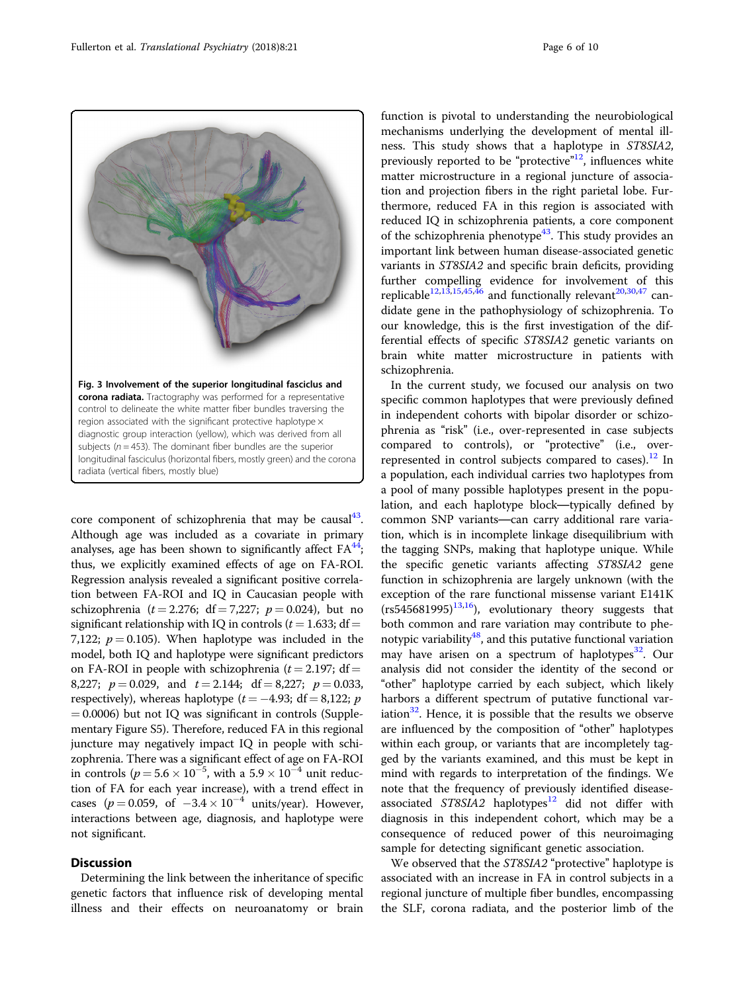<span id="page-5-0"></span>

core component of schizophrenia that may be causal $43$ . Although age was included as a covariate in primary analyses, age has been shown to significantly affect  $FA^{44}$ ; thus, we explicitly examined effects of age on FA-ROI. Regression analysis revealed a significant positive correlation between FA-ROI and IQ in Caucasian people with schizophrenia ( $t = 2.276$ ; df = 7,227;  $p = 0.024$ ), but no significant relationship with IQ in controls ( $t = 1.633$ ; df = 7,122;  $p = 0.105$ ). When haplotype was included in the model, both IQ and haplotype were significant predictors on FA-ROI in people with schizophrenia ( $t = 2.197$ ; df = 8,227;  $p = 0.029$ , and  $t = 2.144$ ;  $df = 8.227$ ;  $p = 0.033$ , respectively), whereas haplotype ( $t = -4.93$ ; df = 8,122; p  $= 0.0006$ ) but not IO was significant in controls (Supplementary Figure S5). Therefore, reduced FA in this regional juncture may negatively impact IQ in people with schizophrenia. There was a significant effect of age on FA-ROI in controls  $(p = 5.6 \times 10^{-5})$ , with a  $5.9 \times 10^{-4}$  unit reduc-<br>tion of EA for each year increase), with a trend effect in tion of FA for each year increase), with a trend effect in cases ( $p = 0.059$ , of  $-3.4 \times 10^{-4}$  units/year). However, interactions between age, diagnosis, and haplotype were not significant.

#### **Discussion**

Determining the link between the inheritance of specific genetic factors that influence risk of developing mental illness and their effects on neuroanatomy or brain function is pivotal to understanding the neurobiological mechanisms underlying the development of mental illness. This study shows that a haplotype in ST8SIA2, previously reported to be "protective"<sup>[12](#page-8-0)</sup>, influences white matter microstructure in a regional juncture of association and projection fibers in the right parietal lobe. Furthermore, reduced FA in this region is associated with reduced IQ in schizophrenia patients, a core component of the schizophrenia phenotype<sup>[43](#page-8-0)</sup>. This study provides an important link between human disease-associated genetic variants in ST8SIA2 and specific brain deficits, providing further compelling evidence for involvement of this replicable<sup>[12](#page-8-0),[13](#page-8-0),[15](#page-8-0),[45,46](#page-8-0)</sup> and functionally relevant<sup>[20,30,47](#page-8-0)</sup> candidate gene in the pathophysiology of schizophrenia. To our knowledge, this is the first investigation of the differential effects of specifi<sup>c</sup> ST8SIA2 genetic variants on brain white matter microstructure in patients with schizophrenia.

In the current study, we focused our analysis on two specific common haplotypes that were previously defined in independent cohorts with bipolar disorder or schizophrenia as "risk" (i.e., over-represented in case subjects compared to controls), or "protective" (i.e., over-represented in control subjects compared to cases).<sup>[12](#page-8-0)</sup> In a population, each individual carries two haplotypes from a pool of many possible haplotypes present in the population, and each haplotype block—typically defined by common SNP variants—can carry additional rare variation, which is in incomplete linkage disequilibrium with the tagging SNPs, making that haplotype unique. While the specific genetic variants affecting ST8SIA2 gene function in schizophrenia are largely unknown (with the exception of the rare functional missense variant E141K  $(rs545681995)^{13,16}$ , evolutionary theory suggests that both common and rare variation may contribute to phenotypic variability $48$ , and this putative functional variation may have arisen on a spectrum of haplotypes<sup>[32](#page-8-0)</sup>. Our analysis did not consider the identity of the second or "other" haplotype carried by each subject, which likely harbors a different spectrum of putative functional variation $32$ . Hence, it is possible that the results we observe are influenced by the composition of "other" haplotypes within each group, or variants that are incompletely tagged by the variants examined, and this must be kept in mind with regards to interpretation of the findings. We note that the frequency of previously identified diseaseassociated  $ST8SIA2$  haplotypes<sup>[12](#page-8-0)</sup> did not differ with diagnosis in this independent cohort, which may be a consequence of reduced power of this neuroimaging sample for detecting significant genetic association.

We observed that the ST8SIA2 "protective" haplotype is associated with an increase in FA in control subjects in a regional juncture of multiple fiber bundles, encompassing the SLF, corona radiata, and the posterior limb of the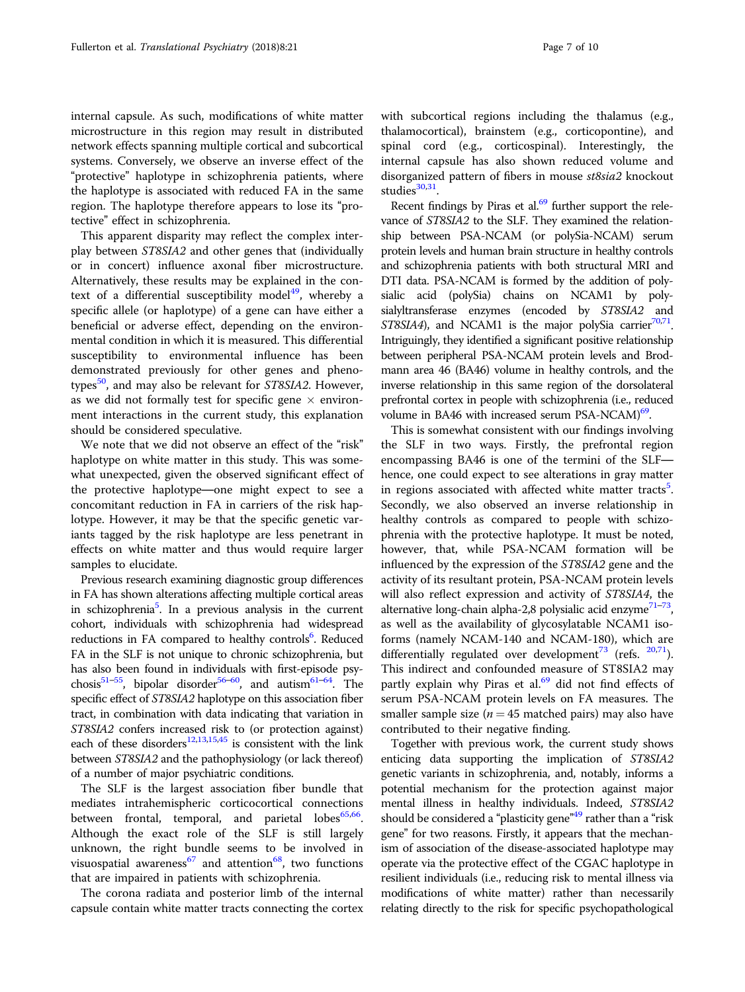internal capsule. As such, modifications of white matter microstructure in this region may result in distributed network effects spanning multiple cortical and subcortical systems. Conversely, we observe an inverse effect of the "protective" haplotype in schizophrenia patients, where the haplotype is associated with reduced FA in the same region. The haplotype therefore appears to lose its "protective" effect in schizophrenia.

This apparent disparity may reflect the complex interplay between ST8SIA2 and other genes that (individually or in concert) influence axonal fiber microstructure. Alternatively, these results may be explained in the context of a differential susceptibility model<sup>49</sup>, whereby a specific allele (or haplotype) of a gene can have either a beneficial or adverse effect, depending on the environmental condition in which it is measured. This differential susceptibility to environmental influence has been demonstrated previously for other genes and phenotypes $50$ , and may also be relevant for ST8SIA2. However, as we did not formally test for specific gene  $\times$  environment interactions in the current study, this explanation should be considered speculative.

We note that we did not observe an effect of the "risk" haplotype on white matter in this study. This was somewhat unexpected, given the observed significant effect of the protective haplotype—one might expect to see a concomitant reduction in FA in carriers of the risk haplotype. However, it may be that the specific genetic variants tagged by the risk haplotype are less penetrant in effects on white matter and thus would require larger samples to elucidate.

Previous research examining diagnostic group differences in FA has shown alterations affecting multiple cortical areas in schizophrenia<sup>[5](#page-8-0)</sup>. In a previous analysis in the current cohort, individuals with schizophrenia had widespread reductions in FA compared to healthy controls<sup>6</sup>. Reduced FA in the SLF is not unique to chronic schizophrenia, but has also been found in individuals with first-episode psy-chosis<sup>[51](#page-8-0)–[55](#page-8-0)</sup>, bipolar disorder<sup>[56](#page-8-0)–[60](#page-9-0)</sup>, and autism<sup>61–64</sup>. The specific effect of ST8SIA2 haplotype on this association fiber tract, in combination with data indicating that variation in ST8SIA2 confers increased risk to (or protection against) each of these disorders<sup>12,13,15,45</sup> is consistent with the link between ST8SIA2 and the pathophysiology (or lack thereof) of a number of major psychiatric conditions.

The SLF is the largest association fiber bundle that mediates intrahemispheric corticocortical connections between frontal, temporal, and parietal lobes<sup>[65,66](#page-9-0)</sup>. Although the exact role of the SLF is still largely unknown, the right bundle seems to be involved in visuospatial awareness<sup>[67](#page-9-0)</sup> and attention<sup>68</sup>, two functions that are impaired in patients with schizophrenia.

The corona radiata and posterior limb of the internal capsule contain white matter tracts connecting the cortex with subcortical regions including the thalamus (e.g., thalamocortical), brainstem (e.g., corticopontine), and spinal cord (e.g., corticospinal). Interestingly, the internal capsule has also shown reduced volume and disorganized pattern of fibers in mouse st8sia2 knockout studies $30,31$  $30,31$  $30,31$ .

Recent findings by Piras et al. $69$  further support the relevance of ST8SIA2 to the SLF. They examined the relationship between PSA-NCAM (or polySia-NCAM) serum protein levels and human brain structure in healthy controls and schizophrenia patients with both structural MRI and DTI data. PSA-NCAM is formed by the addition of polysialic acid (polySia) chains on NCAM1 by polysialyltransferase enzymes (encoded by ST8SIA2 and ST8SIA4), and NCAM1 is the major polySia carrier<sup>70,[71](#page-9-0)</sup>. Intriguingly, they identified a significant positive relationship between peripheral PSA-NCAM protein levels and Brodmann area 46 (BA46) volume in healthy controls, and the inverse relationship in this same region of the dorsolateral prefrontal cortex in people with schizophrenia (i.e., reduced volume in BA46 with increased serum  $PSA-NCAM$ <sup>69</sup>.

This is somewhat consistent with our findings involving the SLF in two ways. Firstly, the prefrontal region encompassing BA46 is one of the termini of the SLF hence, one could expect to see alterations in gray matter in regions associated with affected white matter tracts<sup>[5](#page-8-0)</sup>. Secondly, we also observed an inverse relationship in healthy controls as compared to people with schizophrenia with the protective haplotype. It must be noted, however, that, while PSA-NCAM formation will be influenced by the expression of the ST8SIA2 gene and the activity of its resultant protein, PSA-NCAM protein levels will also reflect expression and activity of ST8SIA4, the alternative long-chain alpha-2,8 polysialic acid enzyme $^{71-73}$  $^{71-73}$  $^{71-73}$  $^{71-73}$  $^{71-73}$ as well as the availability of glycosylatable NCAM1 isoforms (namely NCAM-140 and NCAM-180), which are differentially regulated over development<sup>[73](#page-9-0)</sup> (refs.  $20,71$  $20,71$  $20,71$ ). This indirect and confounded measure of ST8SIA2 may partly explain why Piras et al.<sup>[69](#page-9-0)</sup> did not find effects of serum PSA-NCAM protein levels on FA measures. The smaller sample size ( $n = 45$  matched pairs) may also have contributed to their negative finding.

Together with previous work, the current study shows enticing data supporting the implication of ST8SIA2 genetic variants in schizophrenia, and, notably, informs a potential mechanism for the protection against major mental illness in healthy individuals. Indeed, *ST8SIA2*<br>should be considered a "plasticity gene<sup>"[49](#page-8-0)</sup> rather than a "risk gene" for two reasons. Firstly, it appears that the mechanism of association of the disease-associated haplotype may operate via the protective effect of the CGAC haplotype in resilient individuals (i.e., reducing risk to mental illness via modifications of white matter) rather than necessarily relating directly to the risk for specific psychopathological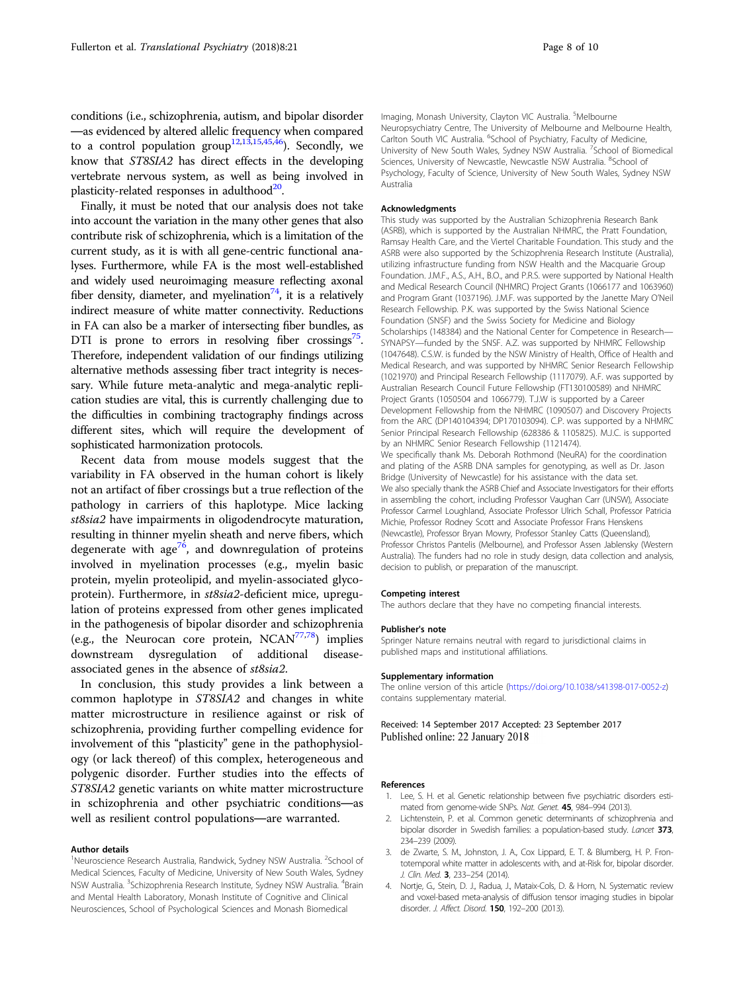<span id="page-7-0"></span>conditions (i.e., schizophrenia, autism, and bipolar disorder —as evidenced by altered allelic frequency when compared to a control population group<sup>[12,13,15](#page-8-0),[45,46](#page-8-0)</sup>). Secondly, we know that ST8SIA2 has direct effects in the developing vertebrate nervous system, as well as being involved in plasticity-related responses in adulthood $20$ .

Finally, it must be noted that our analysis does not take into account the variation in the many other genes that also contribute risk of schizophrenia, which is a limitation of the current study, as it is with all gene-centric functional analyses. Furthermore, while FA is the most well-established and widely used neuroimaging measure reflecting axonal fiber density, diameter, and myelination<sup>74</sup>, it is a relatively indirect measure of white matter connectivity. Reductions in FA can also be a marker of intersecting fiber bundles, as DTI is prone to errors in resolving fiber crossings<sup>75</sup>. Therefore, independent validation of our findings utilizing alternative methods assessing fiber tract integrity is necessary. While future meta-analytic and mega-analytic replication studies are vital, this is currently challenging due to the difficulties in combining tractography findings across different sites, which will require the development of sophisticated harmonization protocols.

Recent data from mouse models suggest that the variability in FA observed in the human cohort is likely not an artifact of fiber crossings but a true reflection of the pathology in carriers of this haplotype. Mice lacking st8sia2 have impairments in oligodendrocyte maturation, resulting in thinner myelin sheath and nerve fibers, which degenerate with age<sup>[76](#page-9-0)</sup>, and downregulation of proteins involved in myelination processes (e.g., myelin basic protein, myelin proteolipid, and myelin-associated glycoprotein). Furthermore, in st8sia2-deficient mice, upregulation of proteins expressed from other genes implicated in the pathogenesis of bipolar disorder and schizophrenia (e.g., the Neurocan core protein,  $NCAN^{77,78}$  $NCAN^{77,78}$  $NCAN^{77,78}$  $NCAN^{77,78}$  $NCAN^{77,78}$ ) implies downstream dysregulation of additional diseaseassociated genes in the absence of st8sia2.

In conclusion, this study provides a link between a common haplotype in ST8SIA2 and changes in white matter microstructure in resilience against or risk of schizophrenia, providing further compelling evidence for involvement of this "plasticity" gene in the pathophysiology (or lack thereof) of this complex, heterogeneous and polygenic disorder. Further studies into the effects of ST8SIA2 genetic variants on white matter microstructure in schizophrenia and other psychiatric conditions—as well as resilient control populations—are warranted.

#### Author details

<sup>1</sup>Neuroscience Research Australia, Randwick, Sydney NSW Australia. <sup>2</sup>School of Medical Sciences, Faculty of Medicine, University of New South Wales, Sydney NSW Australia. <sup>3</sup>Schizophrenia Research Institute, Sydney NSW Australia. <sup>4</sup>Brain and Mental Health Laboratory, Monash Institute of Cognitive and Clinical Neurosciences, School of Psychological Sciences and Monash Biomedical

Imaging, Monash University, Clayton VIC Australia. <sup>5</sup>Melbourne Neuropsychiatry Centre, The University of Melbourne and Melbourne Health, Carlton South VIC Australia. <sup>6</sup>School of Psychiatry, Faculty of Medicine, University of New South Wales, Sydney NSW Australia. <sup>7</sup>School of Biomedical Sciences, University of Newcastle, Newcastle NSW Australia. <sup>8</sup>School of Psychology, Faculty of Science, University of New South Wales, Sydney NSW Australia

#### Acknowledgments

This study was supported by the Australian Schizophrenia Research Bank (ASRB), which is supported by the Australian NHMRC, the Pratt Foundation, Ramsay Health Care, and the Viertel Charitable Foundation. This study and the ASRB were also supported by the Schizophrenia Research Institute (Australia), utilizing infrastructure funding from NSW Health and the Macquarie Group Foundation. J.M.F., A.S., A.H., B.O., and P.R.S. were supported by National Health and Medical Research Council (NHMRC) Project Grants (1066177 and 1063960) and Program Grant (1037196). J.M.F. was supported by the Janette Mary O'Neil Research Fellowship. P.K. was supported by the Swiss National Science Foundation (SNSF) and the Swiss Society for Medicine and Biology Scholarships (148384) and the National Center for Competence in Research— SYNAPSY—funded by the SNSF. A.Z. was supported by NHMRC Fellowship (1047648). C.S.W. is funded by the NSW Ministry of Health, Office of Health and Medical Research, and was supported by NHMRC Senior Research Fellowship (1021970) and Principal Research Fellowship (1117079). A.F. was supported by Australian Research Council Future Fellowship (FT130100589) and NHMRC Project Grants (1050504 and 1066779). T.J.W is supported by a Career Development Fellowship from the NHMRC (1090507) and Discovery Projects from the ARC (DP140104394; DP170103094). C.P. was supported by a NHMRC Senior Principal Research Fellowship (628386 & 1105825). M.J.C. is supported by an NHMRC Senior Research Fellowship (1121474). We specifically thank Ms. Deborah Rothmond (NeuRA) for the coordination and plating of the ASRB DNA samples for genotyping, as well as Dr. Jason Bridge (University of Newcastle) for his assistance with the data set. We also specially thank the ASRB Chief and Associate Investigators for their efforts in assembling the cohort, including Professor Vaughan Carr (UNSW), Associate Professor Carmel Loughland, Associate Professor Ulrich Schall, Professor Patricia

Michie, Professor Rodney Scott and Associate Professor Frans Henskens (Newcastle), Professor Bryan Mowry, Professor Stanley Catts (Queensland), Professor Christos Pantelis (Melbourne), and Professor Assen Jablensky (Western Australia). The funders had no role in study design, data collection and analysis, decision to publish, or preparation of the manuscript.

#### Competing interest

The authors declare that they have no competing financial interests.

#### Publisher's note

Springer Nature remains neutral with regard to jurisdictional claims in published maps and institutional affiliations.

#### Supplementary information

The online version of this article ([https://doi.org/10.1038/s41398-017-0052-z\)](http://dx.doi.org/10.1038/s41398-017-0052-z) contains supplementary material.

Received: 14 September 2017 Accepted: 23 September 2017 Published online: 22 January 2018

#### References

- 1. Lee, S. H. et al. Genetic relationship between five psychiatric disorders estimated from genome-wide SNPs. Nat. Genet. 45, 984–994 (2013).
- 2. Lichtenstein, P. et al. Common genetic determinants of schizophrenia and bipolar disorder in Swedish families: a population-based study. Lancet 373, 234–239 (2009).
- 3. de Zwarte, S. M., Johnston, J. A., Cox Lippard, E. T. & Blumberg, H. P. Frontotemporal white matter in adolescents with, and at-Risk for, bipolar disorder. J. Clin. Med. 3, 233-254 (2014).
- 4. Nortje, G., Stein, D. J., Radua, J., Mataix-Cols, D. & Horn, N. Systematic review and voxel-based meta-analysis of diffusion tensor imaging studies in bipolar disorder. J. Affect. Disord. **150**, 192-200 (2013).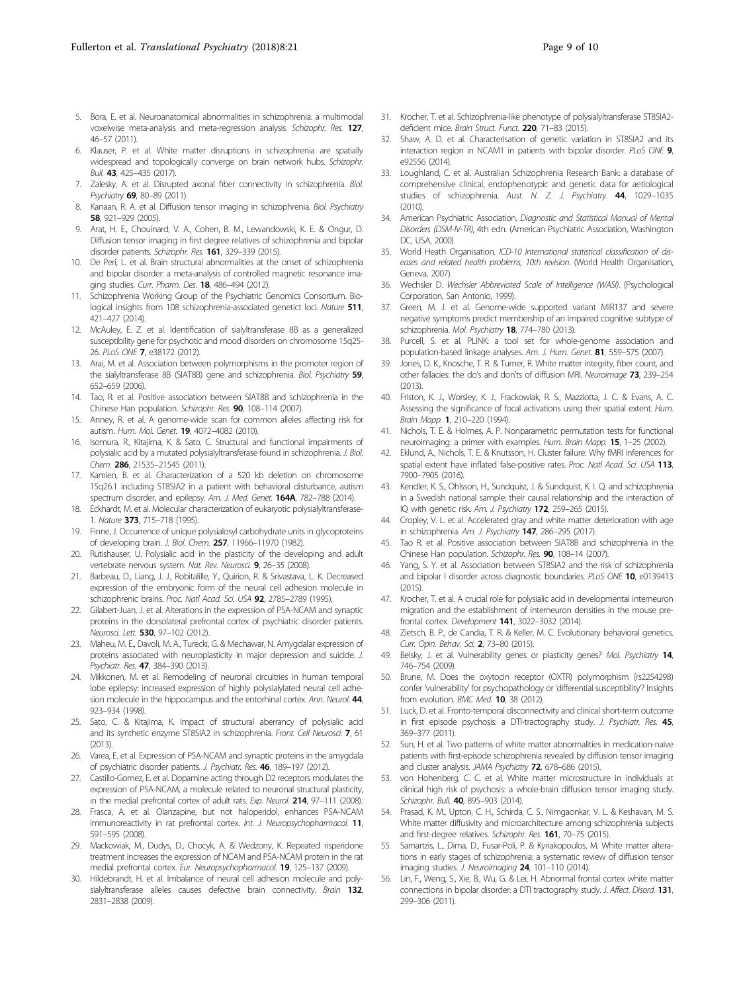- <span id="page-8-0"></span>5. Bora, E. et al. Neuroanatomical abnormalities in schizophrenia: a multimodal voxelwise meta-analysis and meta-regression analysis. Schizophr. Res. 127, 46–57 (2011).
- 6. Klauser, P. et al. White matter disruptions in schizophrenia are spatially widespread and topologically converge on brain network hubs. Schizophr. Bull. 43, 425–435 (2017).
- 7. Zalesky, A. et al. Disrupted axonal fiber connectivity in schizophrenia. Biol. Psychiatry 69, 80–89 (2011).
- 8. Kanaan, R. A. et al. Diffusion tensor imaging in schizophrenia. Biol. Psychiatry 58, 921–929 (2005).
- 9. Arat, H. E., Chouinard, V. A., Cohen, B. M., Lewandowski, K. E. & Ongur, D. Diffusion tensor imaging in first degree relatives of schizophrenia and bipolar disorder patients. Schizophr. Res. 161, 329-339 (2015).
- 10. De Peri, L. et al. Brain structural abnormalities at the onset of schizophrenia and bipolar disorder: a meta-analysis of controlled magnetic resonance imaging studies. Curr. Pharm. Des. **18**, 486-494 (2012).
- 11. Schizophrenia Working Group of the Psychiatric Genomics Consortium. Biological insights from 108 schizophrenia-associated genetict loci. Nature 511, 421–427 (2014).
- 12. McAuley, E. Z. et al. Identification of sialyltransferase 8B as a generalized susceptibility gene for psychotic and mood disorders on chromosome 15q25- 26. PLoS ONE 7, e38172 (2012).
- Arai, M. et al. Association between polymorphisms in the promoter region of the sialyltransferase 8B (SIAT8B) gene and schizophrenia. Biol. Psychiatry 59, 652–659 (2006).
- 14. Tao, R. et al. Positive association between SIAT8B and schizophrenia in the Chinese Han population. Schizophr. Res. 90, 108–114 (2007).
- 15. Anney, R. et al. A genome-wide scan for common alleles affecting risk for autism. Hum. Mol. Genet. 19, 4072–4082 (2010).
- 16. Isomura, R., Kitajima, K. & Sato, C. Structural and functional impairments of polysialic acid by a mutated polysialyltransferase found in schizophrenia. J. Biol. Chem. 286, 21535-21545 (2011).
- 17. Kamien, B. et al. Characterization of a 520 kb deletion on chromosome 15q26.1 including ST8SIA2 in a patient with behavioral disturbance, autism spectrum disorder, and epilepsy. Am. J. Med. Genet. 164A, 782-788 (2014).
- Eckhardt, M. et al. Molecular characterization of eukaryotic polysialyltransferase-1. Nature 373, 715–718 (1995).
- 19. Finne, J. Occurrence of unique polysialosyl carbohydrate units in glycoproteins of developing brain. J. Biol. Chem. 257, 11966–11970 (1982).
- 20. Rutishauser, U. Polysialic acid in the plasticity of the developing and adult vertebrate nervous system. Nat. Rev. Neurosci. 9, 26–35 (2008).
- 21. Barbeau, D., Liang, J. J., Robitalille, Y., Quirion, R. & Srivastava, L. K. Decreased expression of the embryonic form of the neural cell adhesion molecule in schizophrenic brains. Proc. Natl Acad. Sci. USA 92, 2785-2789 (1995).
- 22. Gilabert-Juan, J. et al. Alterations in the expression of PSA-NCAM and synaptic proteins in the dorsolateral prefrontal cortex of psychiatric disorder patients. Neurosci. Lett. 530, 97–102 (2012).
- 23. Maheu, M. E., Davoli, M. A., Turecki, G. & Mechawar, N. Amygdalar expression of proteins associated with neuroplasticity in major depression and suicide. J. Psychiatr. Res. 47, 384–390 (2013).
- 24. Mikkonen, M. et al. Remodeling of neuronal circuitries in human temporal lobe epilepsy: increased expression of highly polysialylated neural cell adhesion molecule in the hippocampus and the entorhinal cortex. Ann. Neurol. 44, 923–934 (1998).
- 25. Sato, C. & Kitajima, K. Impact of structural aberrancy of polysialic acid and its synthetic enzyme ST8SIA2 in schizophrenia. Front. Cell Neurosci. 7, 61  $(2013)$
- 26. Varea, E. et al. Expression of PSA-NCAM and synaptic proteins in the amygdala of psychiatric disorder patients. J. Psychiatr. Res. 46, 189–197 (2012).
- 27. Castillo-Gomez, E. et al. Dopamine acting through D2 receptors modulates the expression of PSA-NCAM, a molecule related to neuronal structural plasticity, in the medial prefrontal cortex of adult rats. Exp. Neurol. 214, 97-111 (2008).
- 28. Frasca, A. et al. Olanzapine, but not haloperidol, enhances PSA-NCAM immunoreactivity in rat prefrontal cortex. Int. J. Neuropsychopharmacol. 11, 591–595 (2008).
- 29. Mackowiak, M., Dudys, D., Chocyk, A. & Wedzony, K. Repeated risperidone treatment increases the expression of NCAM and PSA-NCAM protein in the rat medial prefrontal cortex. Eur. Neuropsychopharmacol. 19, 125–137 (2009).
- Hildebrandt, H. et al. Imbalance of neural cell adhesion molecule and polysialyltransferase alleles causes defective brain connectivity. Brain 132, 2831–2838 (2009).
- 31. Krocher, T. et al. Schizophrenia-like phenotype of polysialyltransferase ST8SIA2 deficient mice. Brain Struct. Funct. 220, 71-83 (2015).
- 32. Shaw, A. D. et al. Characterisation of genetic variation in ST8SIA2 and its interaction region in NCAM1 in patients with bipolar disorder. PLoS ONE 9, e92556 (2014).
- 33. Loughland, C. et al. Australian Schizophrenia Research Bank: a database of comprehensive clinical, endophenotypic and genetic data for aetiological studies of schizophrenia. Aust. N. Z. J. Psychiatry. 44, 1029–1035 (2010).
- 34. American Psychiatric Association. Diagnostic and Statistical Manual of Mental Disorders (DSM-IV-TR), 4th edn. (American Psychiatric Association, Washington DC, USA, 2000).
- 35. World Heath Organisation. ICD-10 International statistical classification of diseases and related health problems, 10th revision. (World Health Organisation, Geneva, 2007).
- 36. Wechsler D. Wechsler Abbreviated Scale of Intelligence (WASI). (Psychological Corporation, San Antonio, 1999).
- 37. Green, M. J. et al. Genome-wide supported variant MIR137 and severe negative symptoms predict membership of an impaired cognitive subtype of schizophrenia. Mol. Psychiatry 18, 774-780 (2013).
- 38. Purcell, S. et al. PLINK: a tool set for whole-genome association and population-based linkage analyses. Am. J. Hum. Genet. 81, 559-575 (2007).
- Jones, D. K., Knosche, T. R. & Turner, R. White matter integrity, fiber count, and other fallacies: the do's and don'ts of diffusion MRI. Neuroimage 73, 239–254 (2013).
- 40. Friston, K. J., Worsley, K. J., Frackowiak, R. S., Mazziotta, J. C. & Evans, A. C. Assessing the significance of focal activations using their spatial extent. Hum. Brain Mapp. 1, 210–220 (1994).
- 41. Nichols, T. E. & Holmes, A. P. Nonparametric permutation tests for functional neuroimaging: a primer with examples. Hum. Brain Mapp. 15, 1-25 (2002).
- 42. Eklund, A., Nichols, T. E. & Knutsson, H. Cluster failure: Why fMRI inferences for spatial extent have inflated false-positive rates. Proc. Natl Acad. Sci. USA 113, 7900–7905 (2016).
- 43. Kendler, K. S., Ohlsson, H., Sundquist, J. & Sundquist, K. I. Q. and schizophrenia in a Swedish national sample: their causal relationship and the interaction of IQ with genetic risk. Am. J. Psychiatry 172, 259-265 (2015).
- 44. Cropley, V. L. et al. Accelerated gray and white matter deterioration with age in schizophrenia. Am. J. Psychiatry 147, 286-295 (2017).
- 45. Tao R. et al. Positive association between SIAT8B and schizophrenia in the Chinese Han population. Schizophr. Res. 90, 108–14 (2007).
- 46. Yang, S. Y. et al. Association between ST8SIA2 and the risk of schizophrenia and bipolar I disorder across diagnostic boundaries. PLoS ONE 10, e0139413  $(2015)$
- 47. Krocher, T. et al. A crucial role for polysialic acid in developmental interneuron migration and the establishment of interneuron densities in the mouse prefrontal cortex. Development 141, 3022–3032 (2014).
- 48. Zietsch, B. P., de Candia, T. R. & Keller, M. C. Evolutionary behavioral genetics. Curr. Opin. Behav. Sci. 2, 73–80 (2015).
- 49. Belsky, J. et al. Vulnerability genes or plasticity genes? Mol. Psychiatry 14, 746–754 (2009).
- 50. Brune, M. Does the oxytocin receptor (OXTR) polymorphism (rs2254298) confer 'vulnerability' for psychopathology or 'differential susceptibility'? Insights from evolution. BMC Med. 10, 38 (2012).
- 51. Luck, D. et al. Fronto-temporal disconnectivity and clinical short-term outcome in first episode psychosis: a DTI-tractography study. J. Psychiatr. Res. 45, 369–377 (2011).
- 52. Sun, H. et al. Two patterns of white matter abnormalities in medication-naive patients with first-episode schizophrenia revealed by diffusion tensor imaging and cluster analysis. JAMA Psychiatry 72, 678-686 (2015).
- 53. von Hohenberg, C. C. et al. White matter microstructure in individuals at clinical high risk of psychosis: a whole-brain diffusion tensor imaging study. Schizophr. Bull. 40, 895-903 (2014).
- 54. Prasad, K. M., Upton, C. H., Schirda, C. S., Nimgaonkar, V. L. & Keshavan, M. S. White matter diffusivity and microarchitecture among schizophrenia subjects and first-degree relatives. Schizophr. Res. 161, 70-75 (2015).
- Samartzis, L., Dima, D., Fusar-Poli, P. & Kyriakopoulos, M. White matter alterations in early stages of schizophrenia: a systematic review of diffusion tensor imaging studies. J. Neuroimaging 24, 101-110 (2014).
- 56. Lin, F., Weng, S., Xie, B., Wu, G. & Lei, H. Abnormal frontal cortex white matter connections in bipolar disorder: a DTI tractography study. J. Affect. Disord. 131, 299–306 (2011).